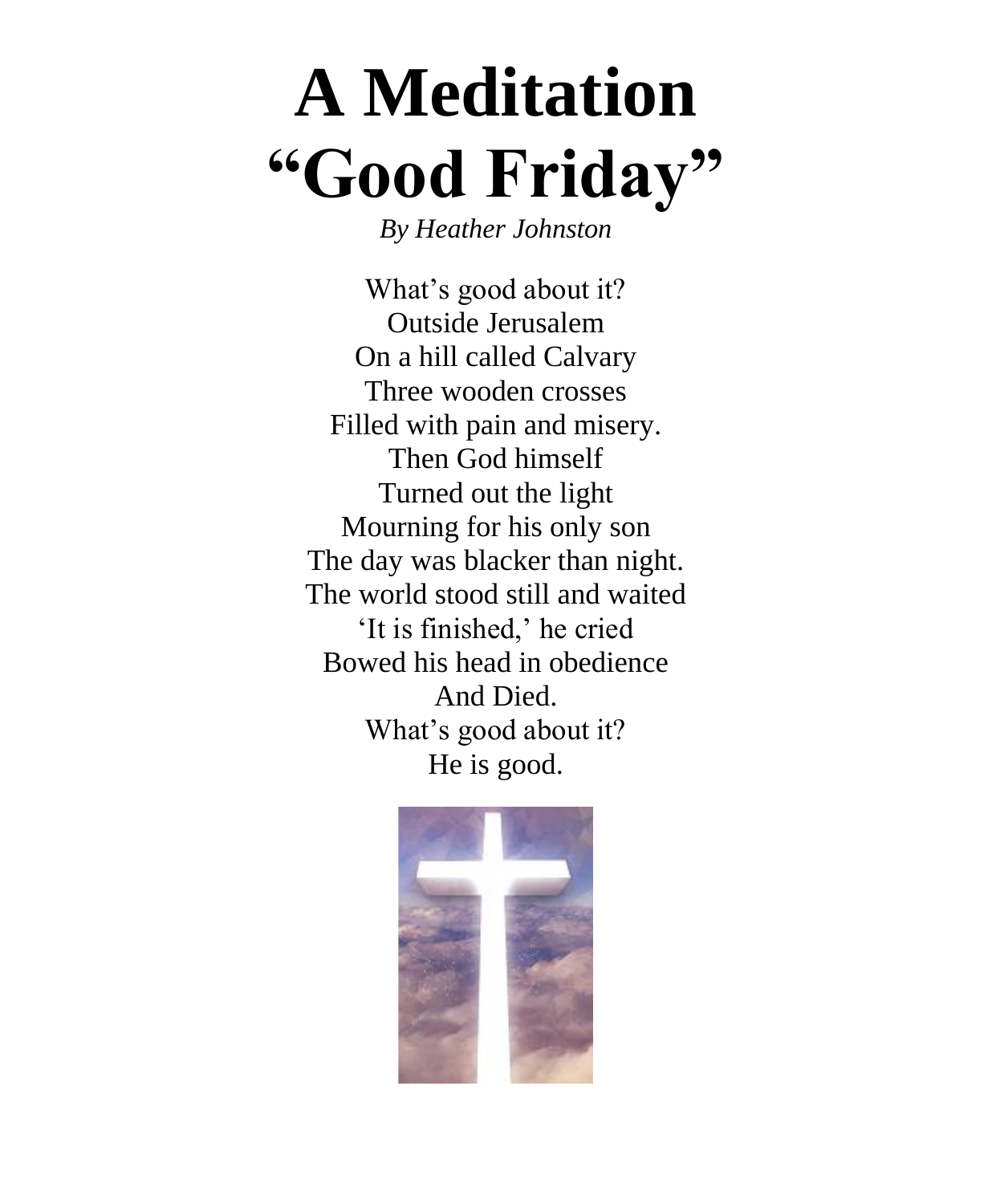# **A Meditation "Good Friday"**

*By Heather Johnston*

What's good about it? Outside Jerusalem On a hill called Calvary Three wooden crosses Filled with pain and misery. Then God himself Turned out the light Mourning for his only son The day was blacker than night. The world stood still and waited 'It is finished,' he cried Bowed his head in obedience And Died. What's good about it? He is good.

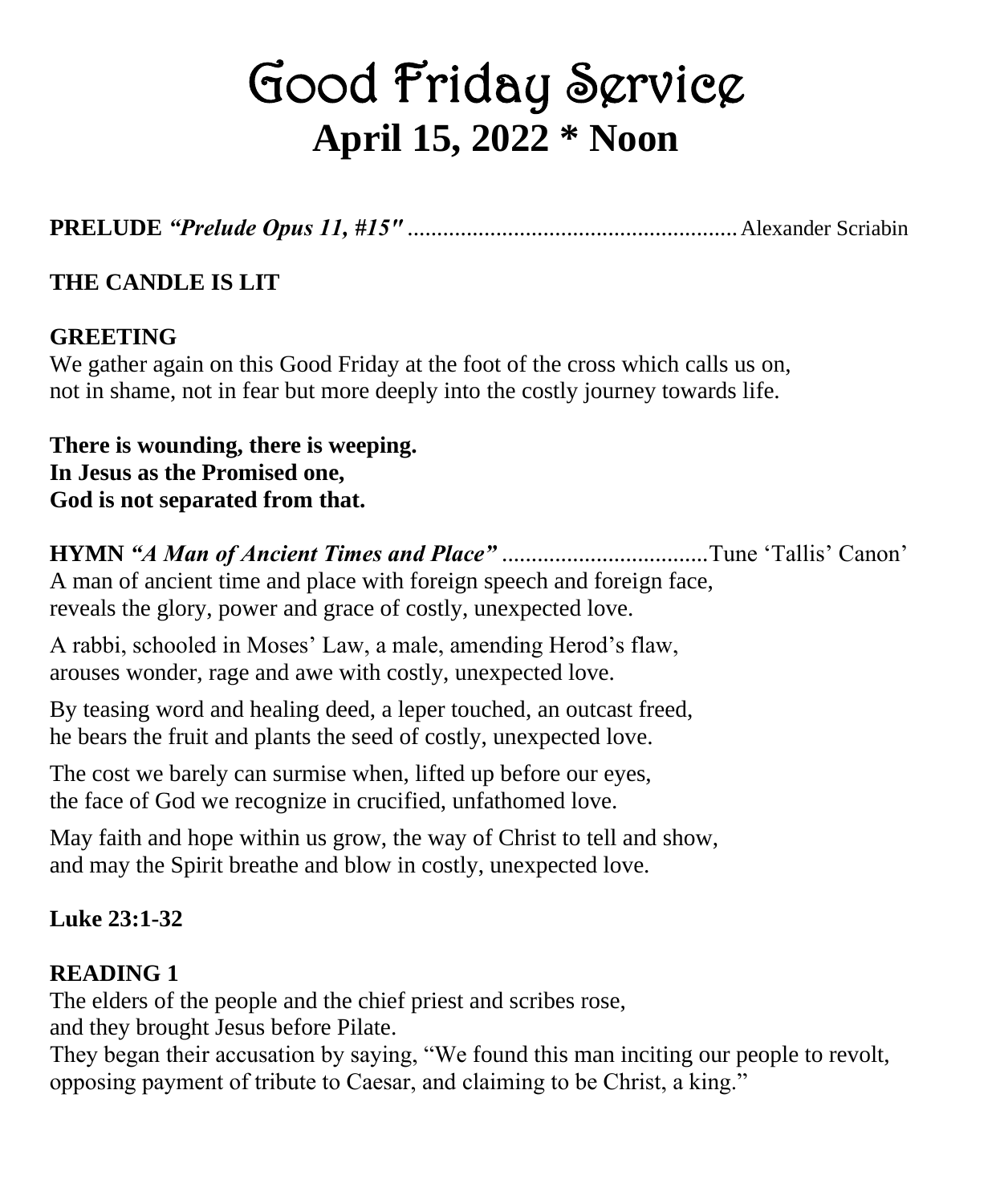# Good Friday Service **April 15, 2022 \* Noon**

**PRELUDE** *"Prelude Opus 11, #15"* ........................................................Alexander Scriabin

## **THE CANDLE IS LIT**

#### **GREETING**

We gather again on this Good Friday at the foot of the cross which calls us on, not in shame, not in fear but more deeply into the costly journey towards life.

**There is wounding, there is weeping. In Jesus as the Promised one, God is not separated from that.**

**HYMN** *"A Man of Ancient Times and Place"* ...................................Tune 'Tallis' Canon' A man of ancient time and place with foreign speech and foreign face, reveals the glory, power and grace of costly, unexpected love.

A rabbi, schooled in Moses' Law, a male, amending Herod's flaw, arouses wonder, rage and awe with costly, unexpected love.

By teasing word and healing deed, a leper touched, an outcast freed, he bears the fruit and plants the seed of costly, unexpected love.

The cost we barely can surmise when, lifted up before our eyes, the face of God we recognize in crucified, unfathomed love.

May faith and hope within us grow, the way of Christ to tell and show, and may the Spirit breathe and blow in costly, unexpected love.

#### **Luke 23:1-32**

# **READING 1**

The elders of the people and the chief priest and scribes rose, and they brought Jesus before Pilate.

They began their accusation by saying, "We found this man inciting our people to revolt, opposing payment of tribute to Caesar, and claiming to be Christ, a king."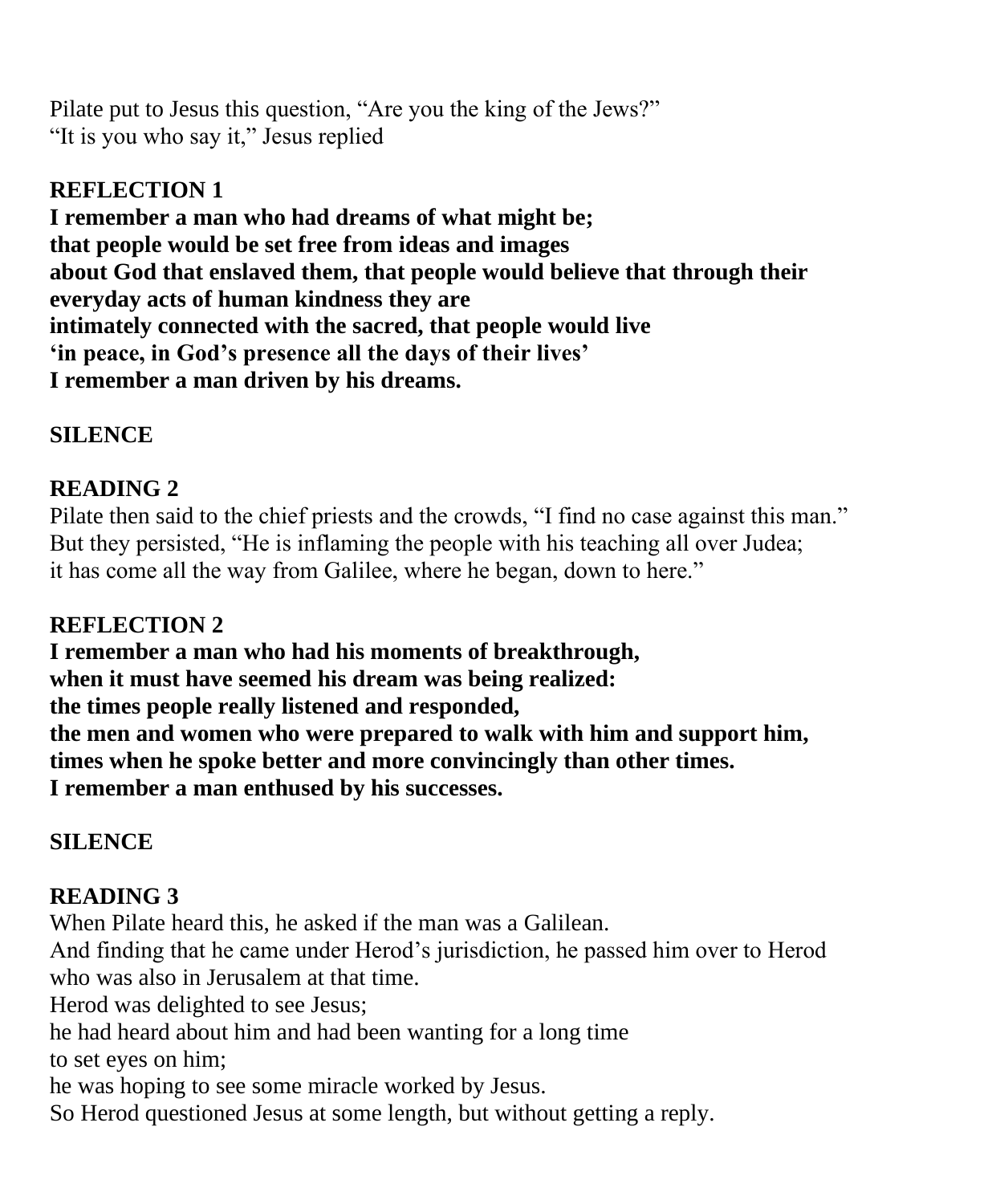Pilate put to Jesus this question, "Are you the king of the Jews?" "It is you who say it," Jesus replied

### **REFLECTION 1**

**I remember a man who had dreams of what might be; that people would be set free from ideas and images about God that enslaved them, that people would believe that through their everyday acts of human kindness they are intimately connected with the sacred, that people would live 'in peace, in God's presence all the days of their lives' I remember a man driven by his dreams.**

# **SILENCE**

# **READING 2**

Pilate then said to the chief priests and the crowds, "I find no case against this man." But they persisted, "He is inflaming the people with his teaching all over Judea; it has come all the way from Galilee, where he began, down to here."

# **REFLECTION 2**

**I remember a man who had his moments of breakthrough, when it must have seemed his dream was being realized: the times people really listened and responded, the men and women who were prepared to walk with him and support him, times when he spoke better and more convincingly than other times. I remember a man enthused by his successes.**

# **SILENCE**

# **READING 3**

When Pilate heard this, he asked if the man was a Galilean. And finding that he came under Herod's jurisdiction, he passed him over to Herod who was also in Jerusalem at that time. Herod was delighted to see Jesus; he had heard about him and had been wanting for a long time to set eyes on him; he was hoping to see some miracle worked by Jesus. So Herod questioned Jesus at some length, but without getting a reply.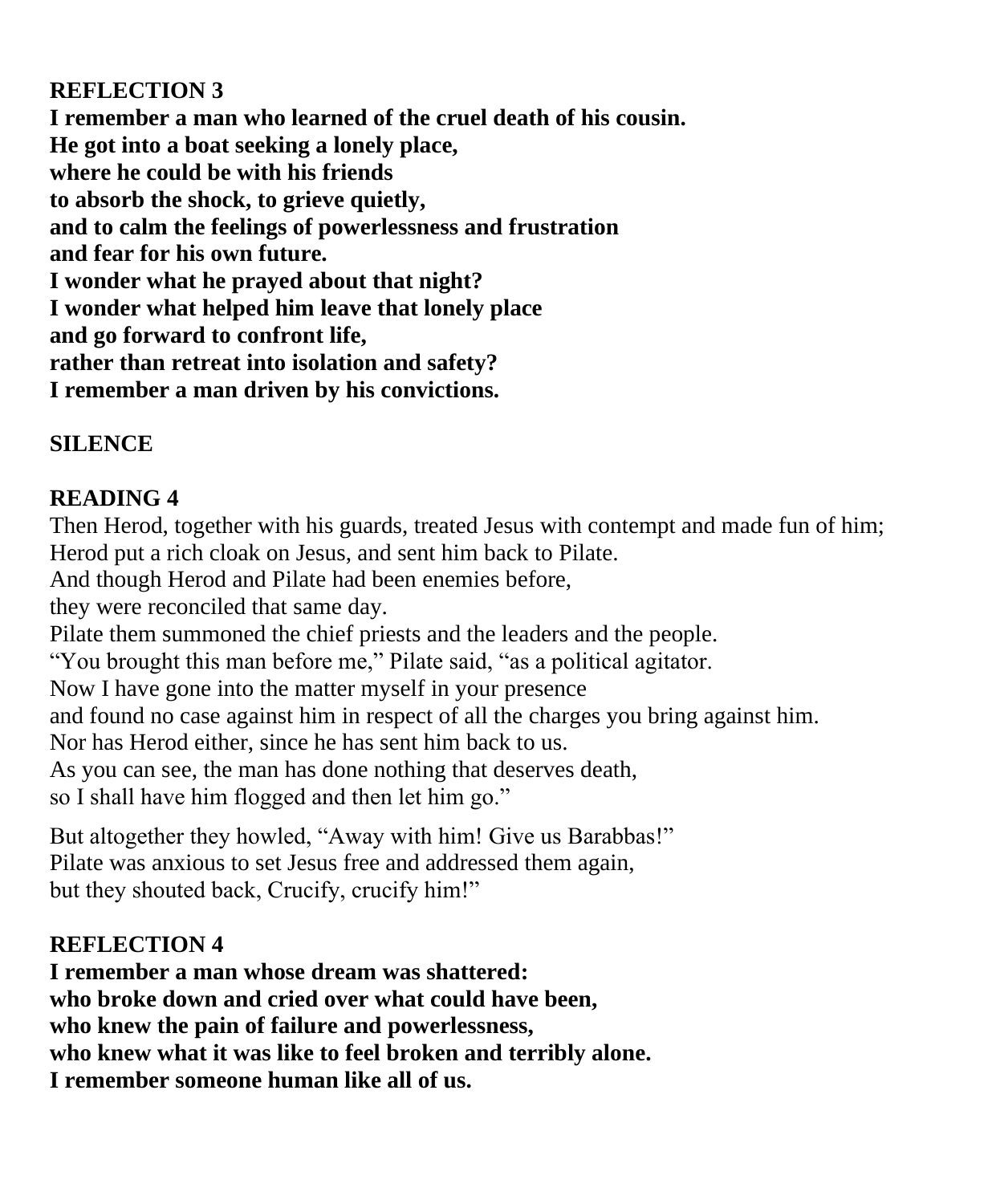# **REFLECTION 3**

**I remember a man who learned of the cruel death of his cousin. He got into a boat seeking a lonely place, where he could be with his friends to absorb the shock, to grieve quietly, and to calm the feelings of powerlessness and frustration and fear for his own future. I wonder what he prayed about that night? I wonder what helped him leave that lonely place and go forward to confront life, rather than retreat into isolation and safety? I remember a man driven by his convictions.**

# **SILENCE**

# **READING 4**

Then Herod, together with his guards, treated Jesus with contempt and made fun of him; Herod put a rich cloak on Jesus, and sent him back to Pilate.

And though Herod and Pilate had been enemies before,

they were reconciled that same day.

Pilate them summoned the chief priests and the leaders and the people.

"You brought this man before me," Pilate said, "as a political agitator.

Now I have gone into the matter myself in your presence

and found no case against him in respect of all the charges you bring against him.

Nor has Herod either, since he has sent him back to us.

As you can see, the man has done nothing that deserves death,

so I shall have him flogged and then let him go."

But altogether they howled, "Away with him! Give us Barabbas!" Pilate was anxious to set Jesus free and addressed them again, but they shouted back, Crucify, crucify him!"

# **REFLECTION 4**

**I remember a man whose dream was shattered: who broke down and cried over what could have been, who knew the pain of failure and powerlessness, who knew what it was like to feel broken and terribly alone. I remember someone human like all of us.**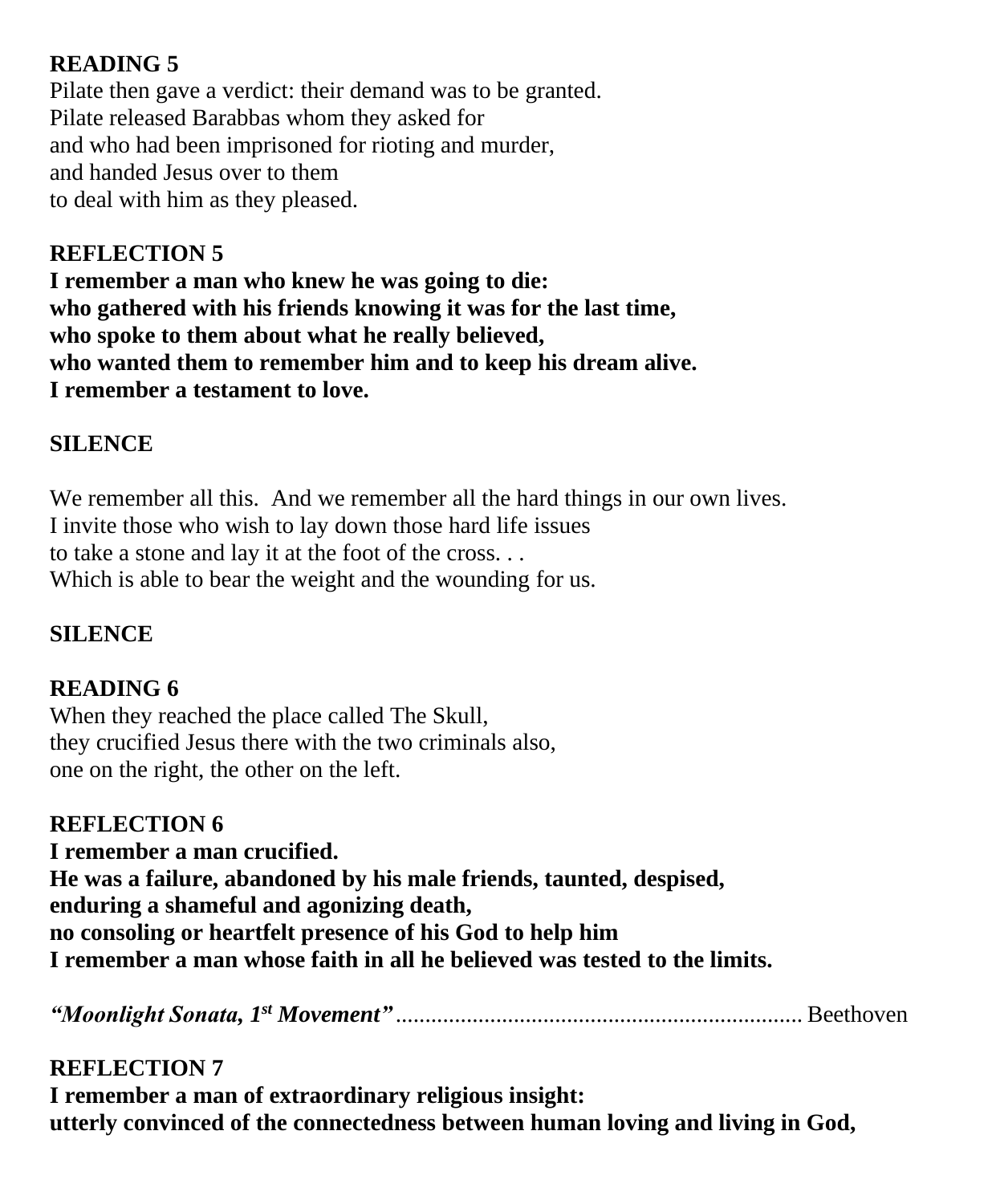# **READING 5**

Pilate then gave a verdict: their demand was to be granted. Pilate released Barabbas whom they asked for and who had been imprisoned for rioting and murder, and handed Jesus over to them to deal with him as they pleased.

#### **REFLECTION 5**

**I remember a man who knew he was going to die: who gathered with his friends knowing it was for the last time, who spoke to them about what he really believed, who wanted them to remember him and to keep his dream alive. I remember a testament to love.**

#### **SILENCE**

We remember all this. And we remember all the hard things in our own lives. I invite those who wish to lay down those hard life issues to take a stone and lay it at the foot of the cross. . . Which is able to bear the weight and the wounding for us.

#### **SILENCE**

#### **READING 6**

When they reached the place called The Skull, they crucified Jesus there with the two criminals also, one on the right, the other on the left.

**REFLECTION 6 I remember a man crucified. He was a failure, abandoned by his male friends, taunted, despised, enduring a shameful and agonizing death, no consoling or heartfelt presence of his God to help him I remember a man whose faith in all he believed was tested to the limits.**

*"Moonlight Sonata, 1st Movement"* ..................................................................... Beethoven

#### **REFLECTION 7**

**I remember a man of extraordinary religious insight: utterly convinced of the connectedness between human loving and living in God,**